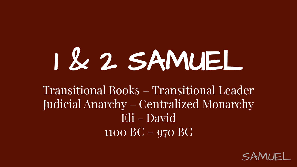## 1 & 2 SAMUEL

Transitional Books – Transitional Leader Judicial Anarchy – Centralized Monarchy Eli - David 1100 BC – 970 BC

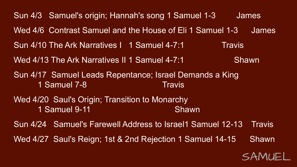Sun 4/3 Samuel's origin; Hannah's song 1 Samuel 1-3 James Wed 4/6 Contrast Samuel and the House of Eli 1 Samuel 1-3 James Sun 4/10 The Ark Narratives 1 1 Samuel 4-7:1 Travis Wed 4/13 The Ark Narratives II 1 Samuel 4-7:1 Shawn Sun 4/17 Samuel Leads Repentance; Israel Demands a King 1 Samuel 7-8 Travis Wed 4/20 Saul's Origin; Transition to Monarchy 1 Samuel 9-11 Shawn Sun 4/24 Samuel's Farewell Address to Israel1 Samuel 12-13 Travis Wed 4/27 Saul's Reign; 1st & 2nd Rejection 1 Samuel 14-15 Shawn

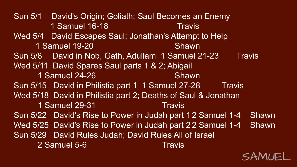SAMUEL Sun 5/1 David's Origin; Goliath; Saul Becomes an Enemy 1 Samuel 16-18 Travis Wed 5/4 David Escapes Saul; Jonathan's Attempt to Help 1 Samuel 19-20 Shawn Sun 5/8 David in Nob, Gath, Adullam 1 Samuel 21-23 Travis Wed 5/11 David Spares Saul parts 1 & 2; Abigail 1 Samuel 24-26 Shawn Sun 5/15 David in Philistia part 1 1 Samuel 27-28 Travis Wed 5/18 David in Philistia part 2; Deaths of Saul & Jonathan 1 Samuel 29-31 Travis Sun 5/22 David's Rise to Power in Judah part 12 Samuel 1-4 Shawn Wed 5/25 David's Rise to Power in Judah part 22 Samuel 1-4 Shawn Sun 5/29 David Rules Judah; David Rules All of Israel 2 Samuel 5-6 Travis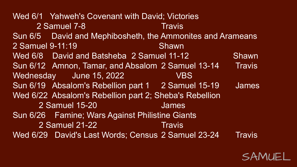Wed 6/1 Yahweh's Covenant with David; Victories 2 Samuel 7-8 Travis Sun 6/5 David and Mephibosheth, the Ammonites and Arameans 2 Samuel 9-11:19 Shawn Wed 6/8 David and Batsheba 2 Samuel 11-12 Shawn Sun 6/12 Amnon, Tamar, and Absalom 2 Samuel 13-14 Travis Wednesday June 15, 2022 VBS Sun 6/19 Absalom's Rebellion part 1 2 Samuel 15-19 James Wed 6/22 Absalom's Rebellion part 2; Sheba's Rebellion 2 Samuel 15-20 James Sun 6/26 Famine; Wars Against Philistine Giants 2 Samuel 21-22 Travis Wed 6/29 David's Last Words; Census 2 Samuel 23-24 Travis

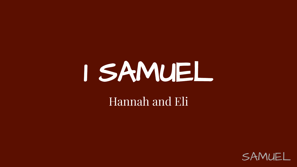# 1 SAMUEL

#### Hannah and Eli

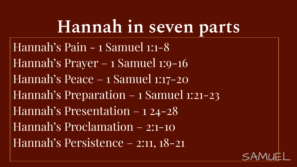### **Hannah in seven parts**

Hannah's Pain - 1 Samuel 1:1-8 Hannah's Prayer – 1 Samuel 1:9-16 Hannah's Peace – 1 Samuel 1:17-20 Hannah's Preparation – 1 Samuel 1:21-23 Hannah's Presentation – 1 24-28 Hannah's Proclamation – 2:1-10 Hannah's Persistence – 2:11, 18-21